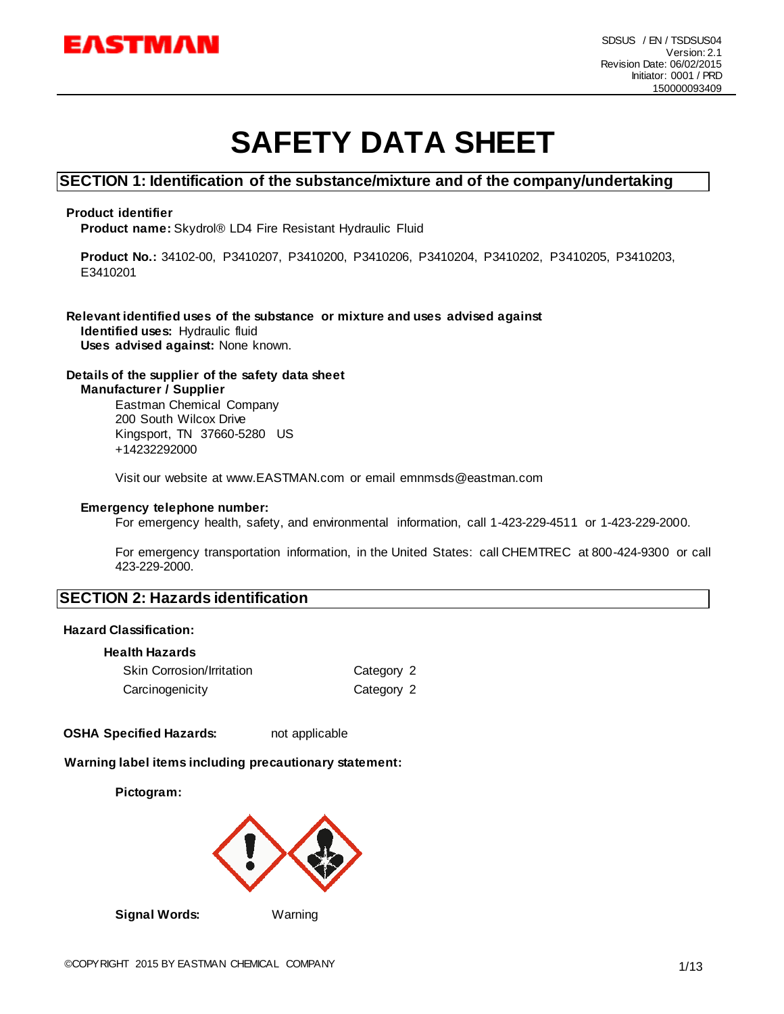

# **SAFETY DATA SHEET**

#### **SECTION 1: Identification of the substance/mixture and of the company/undertaking**

#### **Product identifier**

**Product name:** Skydrol® LD4 Fire Resistant Hydraulic Fluid

**Product No.:** 34102-00, P3410207, P3410200, P3410206, P3410204, P3410202, P3410205, P3410203, E3410201

# **Relevant identified uses of the substance or mixture and uses advised against**

**Identified uses:** Hydraulic fluid **Uses advised against:** None known.

#### **Details of the supplier of the safety data sheet Manufacturer / Supplier**

Eastman Chemical Company 200 South Wilcox Drive Kingsport, TN 37660-5280 US +14232292000

Visit our website at www.EASTMAN.com or email emnmsds@eastman.com

#### **Emergency telephone number:**

For emergency health, safety, and environmental information, call 1-423-229-4511 or 1-423-229-2000.

For emergency transportation information, in the United States: call CHEMTREC at 800-424-9300 or call 423-229-2000.

#### **SECTION 2: Hazards identification**

#### **Hazard Classification:**

#### **Health Hazards**

| <b>Skin Corrosion/Irritation</b> | Category 2 |
|----------------------------------|------------|
| Carcinogenicity                  | Category 2 |

**OSHA Specified Hazards:** not applicable

#### **Warning label items including precautionary statement:**

**Pictogram:**



**Signal Words:** Warning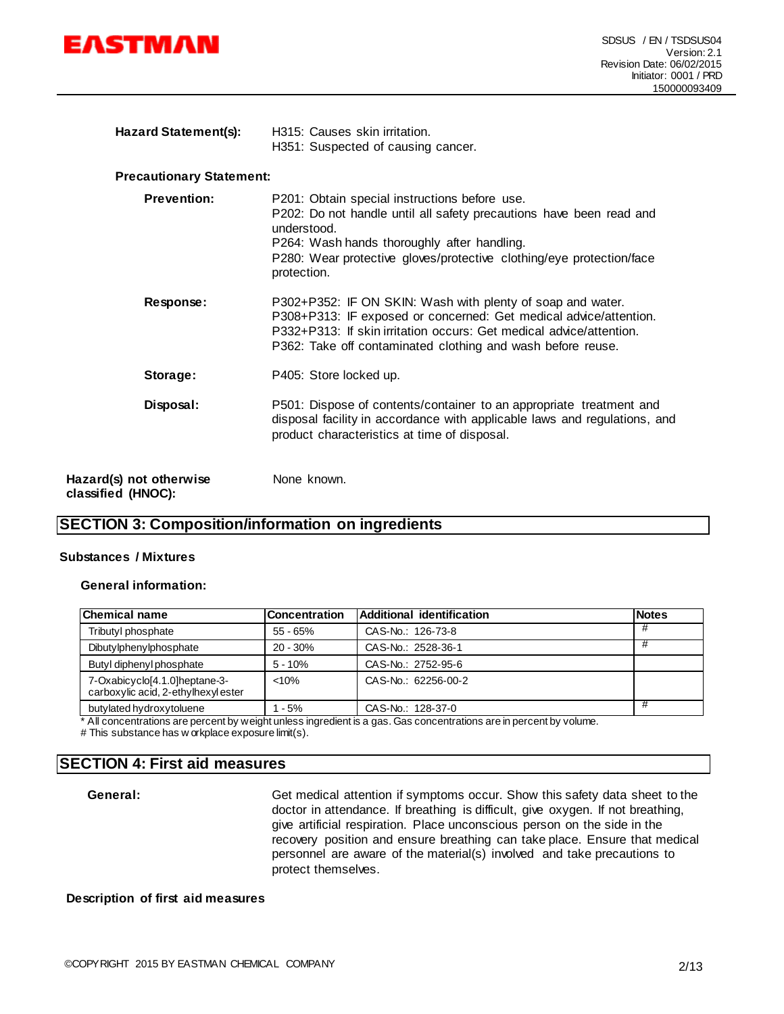

| <b>Hazard Statement(s):</b> | H315: Causes skin irritation.      |
|-----------------------------|------------------------------------|
|                             | H351: Suspected of causing cancer. |

#### **Precautionary Statement:**

| <b>Prevention:</b> | P201: Obtain special instructions before use.<br>P202: Do not handle until all safety precautions have been read and<br>understood.<br>P264: Wash hands thoroughly after handling.<br>P280: Wear protective gloves/protective clothing/eye protection/face<br>protection. |
|--------------------|---------------------------------------------------------------------------------------------------------------------------------------------------------------------------------------------------------------------------------------------------------------------------|
| Response:          | P302+P352: IF ON SKIN: Wash with plenty of soap and water.<br>P308+P313: IF exposed or concerned: Get medical advice/attention.<br>P332+P313: If skin irritation occurs: Get medical advice/attention.<br>P362: Take off contaminated clothing and wash before reuse.     |
| Storage:           | P405: Store locked up.                                                                                                                                                                                                                                                    |
| Disposal:          | P501: Dispose of contents/container to an appropriate treatment and<br>disposal facility in accordance with applicable laws and regulations, and<br>product characteristics at time of disposal.                                                                          |
| ot otherwise       | None known.                                                                                                                                                                                                                                                               |

**Hazard(s) not otherwise classified (HNOC):**

### **SECTION 3: Composition/information on ingredients**

#### **Substances / Mixtures**

#### **General information:**

| <b>Chemical name</b>                                                | <b>Concentration</b> | Additional identification | <b>Notes</b> |
|---------------------------------------------------------------------|----------------------|---------------------------|--------------|
| Tributyl phosphate                                                  | $55 - 65%$           | CAS-No.: 126-73-8         | #            |
| Dibutylphenylphosphate                                              | $20 - 30%$           | CAS-No.: 2528-36-1        |              |
| Butyl diphenyl phosphate                                            | $5 - 10%$            | CAS-No.: 2752-95-6        |              |
| 7-Oxabicyclo[4.1.0]heptane-3-<br>carboxylic acid, 2-ethylhexylester | < 10%                | CAS-No.: 62256-00-2       |              |
| butylated hydroxytoluene                                            | $1 - 5%$             | CAS-No.: 128-37-0         |              |

\* All concentrations are percent by weight unless ingredient is a gas. Gas concentrations are in percent by volume.

# This substance has w orkplace exposure limit(s).

### **SECTION 4: First aid measures**

General: Get medical attention if symptoms occur. Show this safety data sheet to the doctor in attendance. If breathing is difficult, give oxygen. If not breathing, give artificial respiration. Place unconscious person on the side in the recovery position and ensure breathing can take place. Ensure that medical personnel are aware of the material(s) involved and take precautions to protect themselves.

#### **Description of first aid measures**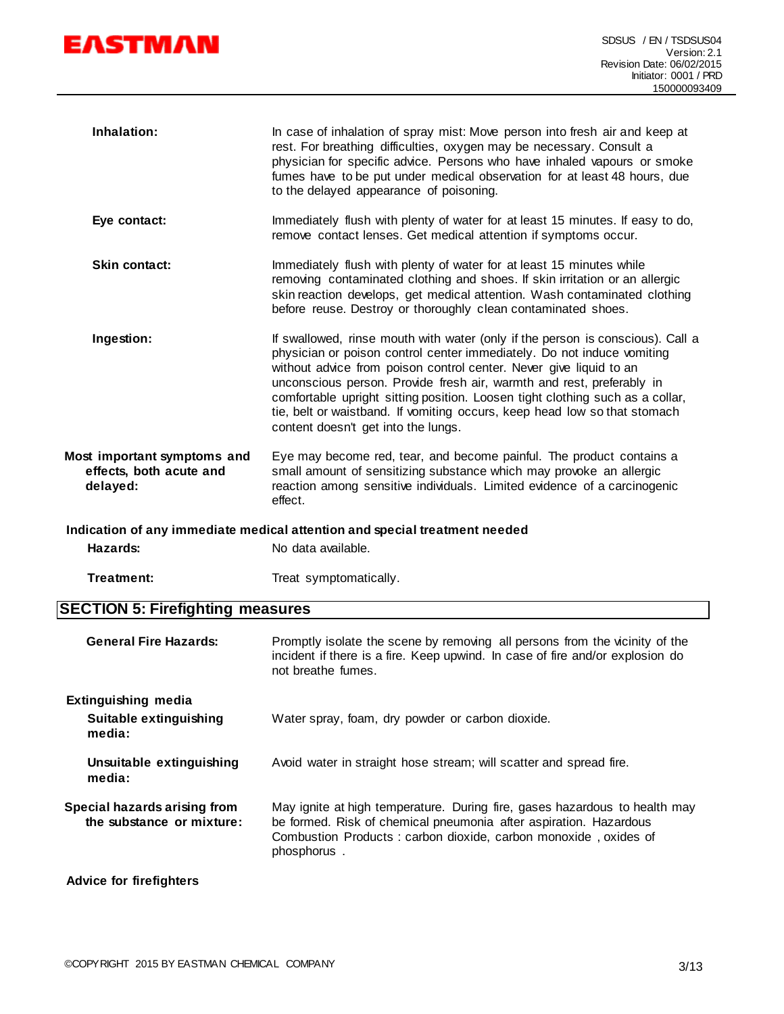

| Inhalation:                                                        | In case of inhalation of spray mist: Move person into fresh air and keep at<br>rest. For breathing difficulties, oxygen may be necessary. Consult a<br>physician for specific advice. Persons who have inhaled vapours or smoke<br>fumes have to be put under medical observation for at least 48 hours, due<br>to the delayed appearance of poisoning.                                                                                                                                                      |
|--------------------------------------------------------------------|--------------------------------------------------------------------------------------------------------------------------------------------------------------------------------------------------------------------------------------------------------------------------------------------------------------------------------------------------------------------------------------------------------------------------------------------------------------------------------------------------------------|
| Eye contact:                                                       | Immediately flush with plenty of water for at least 15 minutes. If easy to do,<br>remove contact lenses. Get medical attention if symptoms occur.                                                                                                                                                                                                                                                                                                                                                            |
| <b>Skin contact:</b>                                               | Immediately flush with plenty of water for at least 15 minutes while<br>removing contaminated clothing and shoes. If skin irritation or an allergic<br>skin reaction develops, get medical attention. Wash contaminated clothing<br>before reuse. Destroy or thoroughly clean contaminated shoes.                                                                                                                                                                                                            |
| Ingestion:                                                         | If swallowed, rinse mouth with water (only if the person is conscious). Call a<br>physician or poison control center immediately. Do not induce vomiting<br>without advice from poison control center. Never give liquid to an<br>unconscious person. Provide fresh air, warmth and rest, preferably in<br>comfortable upright sitting position. Loosen tight clothing such as a collar,<br>tie, belt or waistband. If vomiting occurs, keep head low so that stomach<br>content doesn't get into the lungs. |
| Most important symptoms and<br>effects, both acute and<br>delayed: | Eye may become red, tear, and become painful. The product contains a<br>small amount of sensitizing substance which may provoke an allergic<br>reaction among sensitive individuals. Limited evidence of a carcinogenic<br>effect.                                                                                                                                                                                                                                                                           |
|                                                                    | Indication of any immediate medical attention and special treatment needed                                                                                                                                                                                                                                                                                                                                                                                                                                   |

Hazards: No data available.

Treatment: Treat symptomatically.

# **SECTION 5: Firefighting measures**

| <b>General Fire Hazards:</b>                                   | Promptly isolate the scene by removing all persons from the vicinity of the<br>incident if there is a fire. Keep upwind. In case of fire and/or explosion do<br>not breathe fumes.                                                |  |
|----------------------------------------------------------------|-----------------------------------------------------------------------------------------------------------------------------------------------------------------------------------------------------------------------------------|--|
| <b>Extinguishing media</b><br>Suitable extinguishing<br>media: | Water spray, foam, dry powder or carbon dioxide.                                                                                                                                                                                  |  |
| Unsuitable extinguishing<br>media:                             | Avoid water in straight hose stream; will scatter and spread fire.                                                                                                                                                                |  |
| Special hazards arising from<br>the substance or mixture:      | May ignite at high temperature. During fire, gases hazardous to health may<br>be formed. Risk of chemical pneumonia after aspiration. Hazardous<br>Combustion Products: carbon dioxide, carbon monoxide, oxides of<br>phosphorus. |  |
| <b>Advice for firefighters</b>                                 |                                                                                                                                                                                                                                   |  |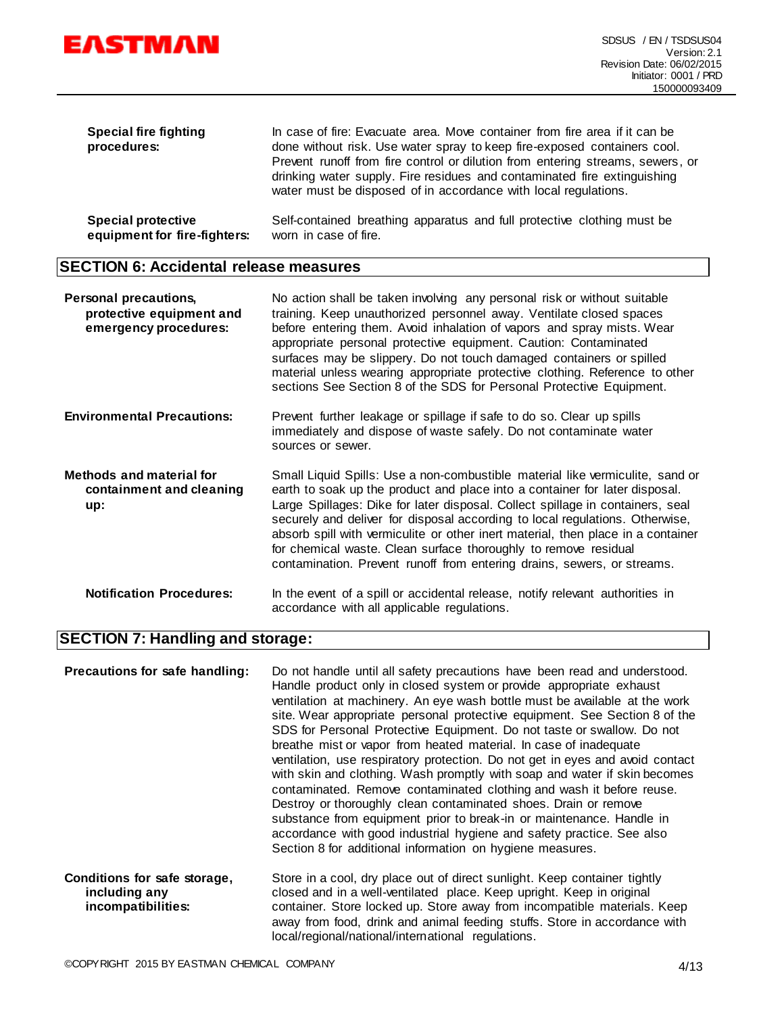

| Special fire fighting<br>procedures: | In case of fire: Evacuate area. Move container from fire area if it can be<br>done without risk. Use water spray to keep fire-exposed containers cool.<br>Prevent runoff from fire control or dilution from entering streams, sewers, or<br>drinking water supply. Fire residues and contaminated fire extinguishing<br>water must be disposed of in accordance with local regulations. |
|--------------------------------------|-----------------------------------------------------------------------------------------------------------------------------------------------------------------------------------------------------------------------------------------------------------------------------------------------------------------------------------------------------------------------------------------|
| <b>Special protective</b>            | Self-contained breathing apparatus and full protective clothing must be                                                                                                                                                                                                                                                                                                                 |
| equipment for fire-fighters:         | worn in case of fire.                                                                                                                                                                                                                                                                                                                                                                   |

# **SECTION 6: Accidental release measures**

| <b>Personal precautions,</b><br>protective equipment and<br>emergency procedures: | No action shall be taken involving any personal risk or without suitable<br>training. Keep unauthorized personnel away. Ventilate closed spaces<br>before entering them. Avoid inhalation of vapors and spray mists. Wear<br>appropriate personal protective equipment. Caution: Contaminated<br>surfaces may be slippery. Do not touch damaged containers or spilled<br>material unless wearing appropriate protective clothing. Reference to other<br>sections See Section 8 of the SDS for Personal Protective Equipment.                                     |
|-----------------------------------------------------------------------------------|------------------------------------------------------------------------------------------------------------------------------------------------------------------------------------------------------------------------------------------------------------------------------------------------------------------------------------------------------------------------------------------------------------------------------------------------------------------------------------------------------------------------------------------------------------------|
| <b>Environmental Precautions:</b>                                                 | Prevent further leakage or spillage if safe to do so. Clear up spills<br>immediately and dispose of waste safely. Do not contaminate water<br>sources or sewer.                                                                                                                                                                                                                                                                                                                                                                                                  |
| <b>Methods and material for</b><br>containment and cleaning<br>up:                | Small Liquid Spills: Use a non-combustible material like vermiculite, sand or<br>earth to soak up the product and place into a container for later disposal.<br>Large Spillages: Dike for later disposal. Collect spillage in containers, seal<br>securely and deliver for disposal according to local regulations. Otherwise,<br>absorb spill with vermiculite or other inert material, then place in a container<br>for chemical waste. Clean surface thoroughly to remove residual<br>contamination. Prevent runoff from entering drains, sewers, or streams. |
| <b>Notification Procedures:</b>                                                   | In the event of a spill or accidental release, notify relevant authorities in<br>accordance with all applicable regulations.                                                                                                                                                                                                                                                                                                                                                                                                                                     |

# **SECTION 7: Handling and storage:**

| Precautions for safe handling:                                      | Do not handle until all safety precautions have been read and understood.<br>Handle product only in closed system or provide appropriate exhaust<br>ventilation at machinery. An eye wash bottle must be available at the work<br>site. Wear appropriate personal protective equipment. See Section 8 of the<br>SDS for Personal Protective Equipment. Do not taste or swallow. Do not<br>breathe mist or vapor from heated material. In case of inadequate<br>ventilation, use respiratory protection. Do not get in eyes and avoid contact<br>with skin and clothing. Wash promptly with soap and water if skin becomes<br>contaminated. Remove contaminated clothing and wash it before reuse.<br>Destroy or thoroughly clean contaminated shoes. Drain or remove<br>substance from equipment prior to break-in or maintenance. Handle in<br>accordance with good industrial hygiene and safety practice. See also<br>Section 8 for additional information on hygiene measures. |
|---------------------------------------------------------------------|------------------------------------------------------------------------------------------------------------------------------------------------------------------------------------------------------------------------------------------------------------------------------------------------------------------------------------------------------------------------------------------------------------------------------------------------------------------------------------------------------------------------------------------------------------------------------------------------------------------------------------------------------------------------------------------------------------------------------------------------------------------------------------------------------------------------------------------------------------------------------------------------------------------------------------------------------------------------------------|
| Conditions for safe storage,<br>including any<br>incompatibilities: | Store in a cool, dry place out of direct sunlight. Keep container tightly<br>closed and in a well-ventilated place. Keep upright. Keep in original<br>container. Store locked up. Store away from incompatible materials. Keep<br>away from food, drink and animal feeding stuffs. Store in accordance with<br>local/regional/national/international regulations.                                                                                                                                                                                                                                                                                                                                                                                                                                                                                                                                                                                                                  |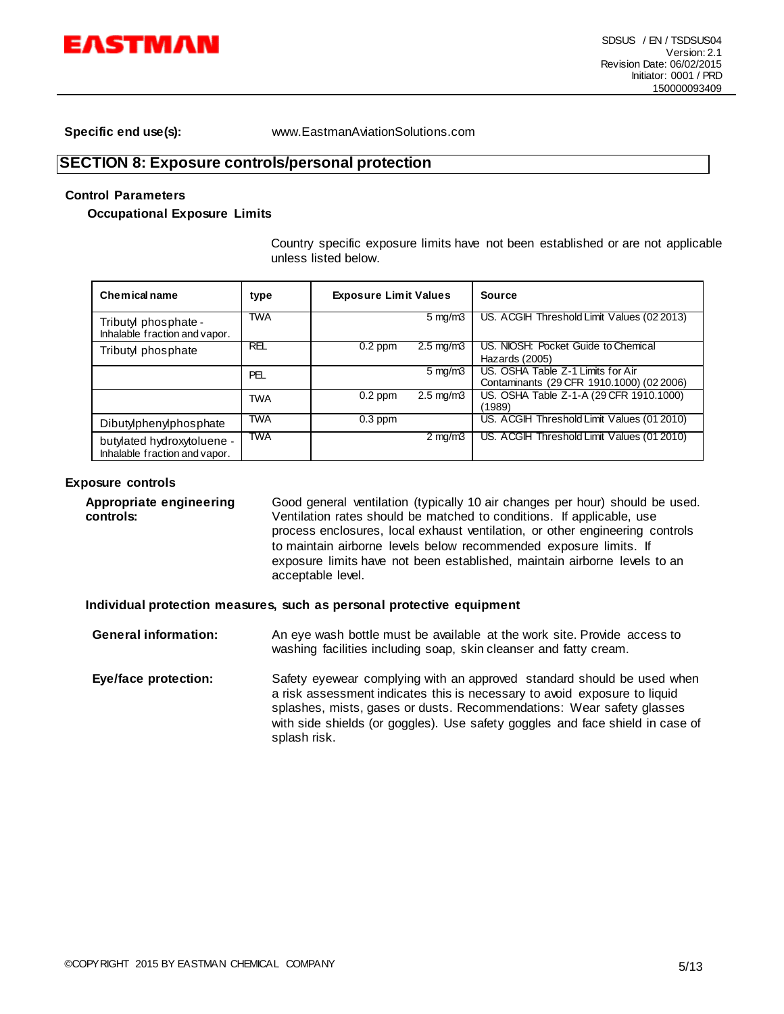

**Specific end use(s):** www.EastmanAviationSolutions.com

#### **SECTION 8: Exposure controls/personal protection**

#### **Control Parameters**

**Occupational Exposure Limits**

Country specific exposure limits have not been established or are not applicable unless listed below.

| Chemical name                                               | type       | <b>Exposure Limit Values</b> |                      | <b>Source</b>                                                                  |
|-------------------------------------------------------------|------------|------------------------------|----------------------|--------------------------------------------------------------------------------|
| Tributyl phosphate -<br>Inhalable fraction and vapor.       | <b>TWA</b> |                              | $5 \text{ mg/m}$ 3   | US. ACGIH Threshold Limit Values (02 2013)                                     |
| Tributyl phosphate                                          | REL        | $0.2$ ppm                    | $2.5 \text{ mg/m}$   | US. NIOSH: Pocket Guide to Chemical<br>Hazards (2005)                          |
|                                                             | PEL        |                              | $5 \text{ mg/m}$     | US. OSHA Table Z-1 Limits for Air<br>Contaminants (29 CFR 1910.1000) (02 2006) |
|                                                             | <b>TWA</b> | $0.2$ ppm                    | $2.5 \text{ mg/m}$ 3 | US. OSHA Table Z-1-A (29 CFR 1910.1000)<br>(1989)                              |
| Dibutylphenylphosphate                                      | <b>TWA</b> | $0.3$ ppm                    |                      | US. ACGIH Threshold Limit Values (01 2010)                                     |
| butylated hydroxytoluene -<br>Inhalable fraction and vapor. | TWA        |                              | $2 \text{ mg/m}$     | US. ACGIH Threshold Limit Values (01 2010)                                     |

#### **Exposure controls**

**Appropriate engineering controls:** Good general ventilation (typically 10 air changes per hour) should be used. Ventilation rates should be matched to conditions. If applicable, use process enclosures, local exhaust ventilation, or other engineering controls to maintain airborne levels below recommended exposure limits. If exposure limits have not been established, maintain airborne levels to an acceptable level.

**Individual protection measures, such as personal protective equipment**

**General information:** An eye wash bottle must be available at the work site. Provide access to washing facilities including soap, skin cleanser and fatty cream. **Eye/face protection:** Safety eyewear complying with an approved standard should be used when a risk assessment indicates this is necessary to avoid exposure to liquid splashes, mists, gases or dusts. Recommendations: Wear safety glasses with side shields (or goggles). Use safety goggles and face shield in case of splash risk.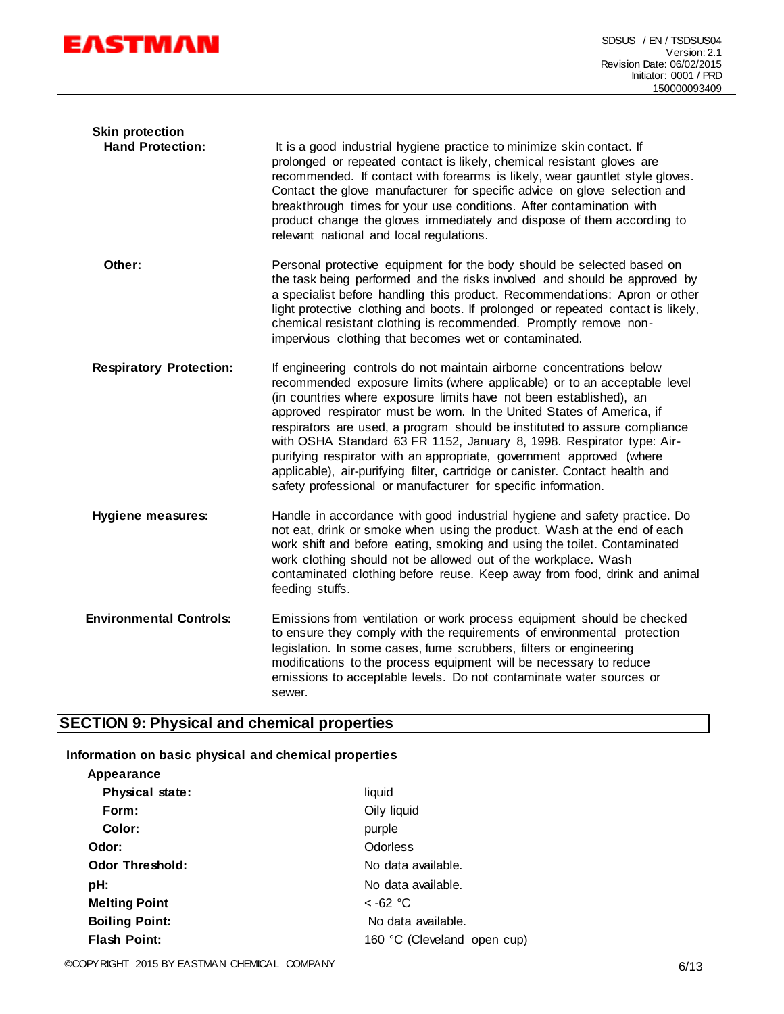

| <b>Skin protection</b><br><b>Hand Protection:</b> | It is a good industrial hygiene practice to minimize skin contact. If<br>prolonged or repeated contact is likely, chemical resistant gloves are<br>recommended. If contact with forearms is likely, wear gauntlet style gloves.<br>Contact the glove manufacturer for specific advice on glove selection and<br>breakthrough times for your use conditions. After contamination with<br>product change the gloves immediately and dispose of them according to<br>relevant national and local regulations.                                                                                                                                                                      |
|---------------------------------------------------|---------------------------------------------------------------------------------------------------------------------------------------------------------------------------------------------------------------------------------------------------------------------------------------------------------------------------------------------------------------------------------------------------------------------------------------------------------------------------------------------------------------------------------------------------------------------------------------------------------------------------------------------------------------------------------|
| Other:                                            | Personal protective equipment for the body should be selected based on<br>the task being performed and the risks involved and should be approved by<br>a specialist before handling this product. Recommendations: Apron or other<br>light protective clothing and boots. If prolonged or repeated contact is likely,<br>chemical resistant clothing is recommended. Promptly remove non-<br>impervious clothing that becomes wet or contaminated.                                                                                                                                                                                                                              |
| <b>Respiratory Protection:</b>                    | If engineering controls do not maintain airborne concentrations below<br>recommended exposure limits (where applicable) or to an acceptable level<br>(in countries where exposure limits have not been established), an<br>approved respirator must be worn. In the United States of America, if<br>respirators are used, a program should be instituted to assure compliance<br>with OSHA Standard 63 FR 1152, January 8, 1998. Respirator type: Air-<br>purifying respirator with an appropriate, government approved (where<br>applicable), air-purifying filter, cartridge or canister. Contact health and<br>safety professional or manufacturer for specific information. |
| <b>Hygiene measures:</b>                          | Handle in accordance with good industrial hygiene and safety practice. Do<br>not eat, drink or smoke when using the product. Wash at the end of each<br>work shift and before eating, smoking and using the toilet. Contaminated<br>work clothing should not be allowed out of the workplace. Wash<br>contaminated clothing before reuse. Keep away from food, drink and animal<br>feeding stuffs.                                                                                                                                                                                                                                                                              |
| <b>Environmental Controls:</b>                    | Emissions from ventilation or work process equipment should be checked<br>to ensure they comply with the requirements of environmental protection<br>legislation. In some cases, fume scrubbers, filters or engineering<br>modifications to the process equipment will be necessary to reduce<br>emissions to acceptable levels. Do not contaminate water sources or<br>sewer.                                                                                                                                                                                                                                                                                                  |

# **SECTION 9: Physical and chemical properties**

### **Information on basic physical and chemical properties**

| Appearance             |                             |
|------------------------|-----------------------------|
| <b>Physical state:</b> | liquid                      |
| Form:                  | Oily liquid                 |
| Color:                 | purple                      |
| Odor:                  | <b>Odorless</b>             |
| <b>Odor Threshold:</b> | No data available.          |
| pH:                    | No data available.          |
| <b>Melting Point</b>   | $<$ -62 °C                  |
| <b>Boiling Point:</b>  | No data available.          |
| <b>Flash Point:</b>    | 160 °C (Cleveland open cup) |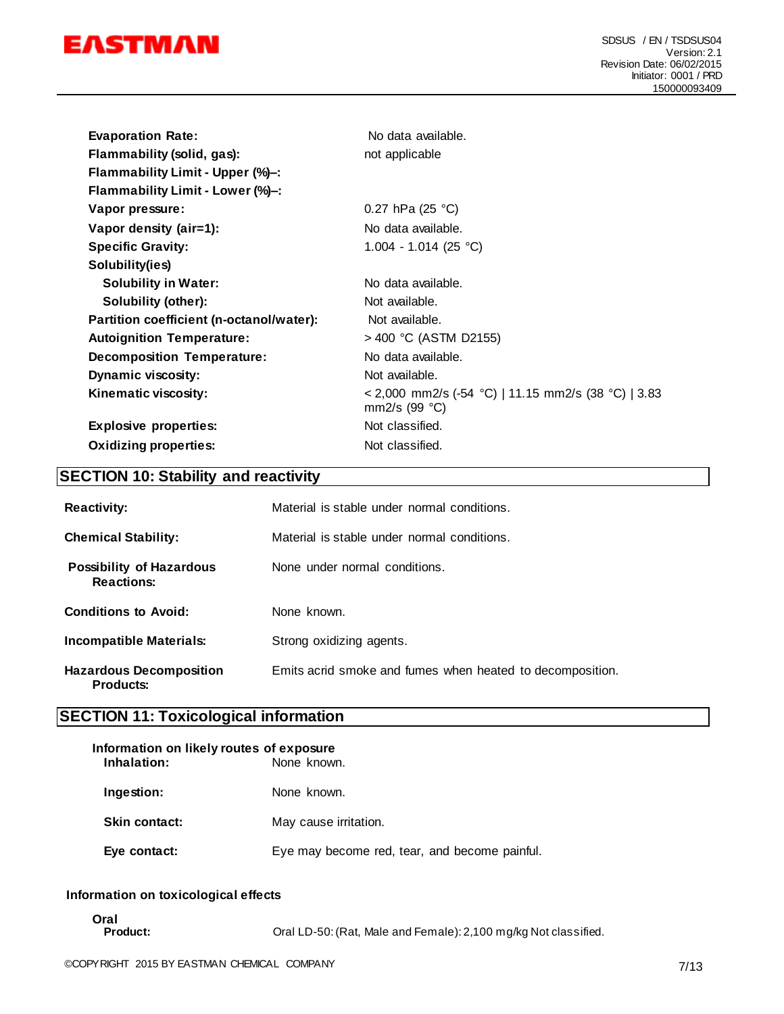

| <b>Evaporation Rate:</b><br>Flammability (solid, gas): | No data available.<br>not applicable                                   |
|--------------------------------------------------------|------------------------------------------------------------------------|
| Flammability Limit - Upper (%)-:                       |                                                                        |
| Flammability Limit - Lower (%)-:                       |                                                                        |
| Vapor pressure:                                        | 0.27 hPa (25 $^{\circ}$ C)                                             |
| Vapor density (air=1):                                 | No data available.                                                     |
| <b>Specific Gravity:</b>                               | 1.004 - 1.014 (25 °C)                                                  |
| Solubility(ies)                                        |                                                                        |
| <b>Solubility in Water:</b>                            | No data available.                                                     |
| Solubility (other):                                    | Not available.                                                         |
| Partition coefficient (n-octanol/water):               | Not available.                                                         |
| <b>Autoignition Temperature:</b>                       | > 400 °C (ASTM D2155)                                                  |
| <b>Decomposition Temperature:</b>                      | No data available.                                                     |
| <b>Dynamic viscosity:</b>                              | Not available.                                                         |
| Kinematic viscosity:                                   | < 2,000 mm2/s (-54 °C)   11.15 mm2/s (38 °C)   3.83<br>mm2/s $(99 °C)$ |
| <b>Explosive properties:</b>                           | Not classified.                                                        |
| <b>Oxidizing properties:</b>                           | Not classified.                                                        |

# **SECTION 10: Stability and reactivity**

| <b>Reactivity:</b>                                   | Material is stable under normal conditions.               |
|------------------------------------------------------|-----------------------------------------------------------|
| <b>Chemical Stability:</b>                           | Material is stable under normal conditions.               |
| <b>Possibility of Hazardous</b><br><b>Reactions:</b> | None under normal conditions.                             |
| <b>Conditions to Avoid:</b>                          | None known.                                               |
| Incompatible Materials:                              | Strong oxidizing agents.                                  |
| <b>Hazardous Decomposition</b><br><b>Products:</b>   | Emits acrid smoke and fumes when heated to decomposition. |

# **SECTION 11: Toxicological information**

| Information on likely routes of exposure<br>Inhalation: | None known.                                   |
|---------------------------------------------------------|-----------------------------------------------|
| Ingestion:                                              | None known.                                   |
| <b>Skin contact:</b>                                    | May cause irritation.                         |
| Eye contact:                                            | Eye may become red, tear, and become painful. |

#### **Information on toxicological effects**

**Oral**

Oral LD-50: (Rat, Male and Female): 2,100 mg/kg Not classified.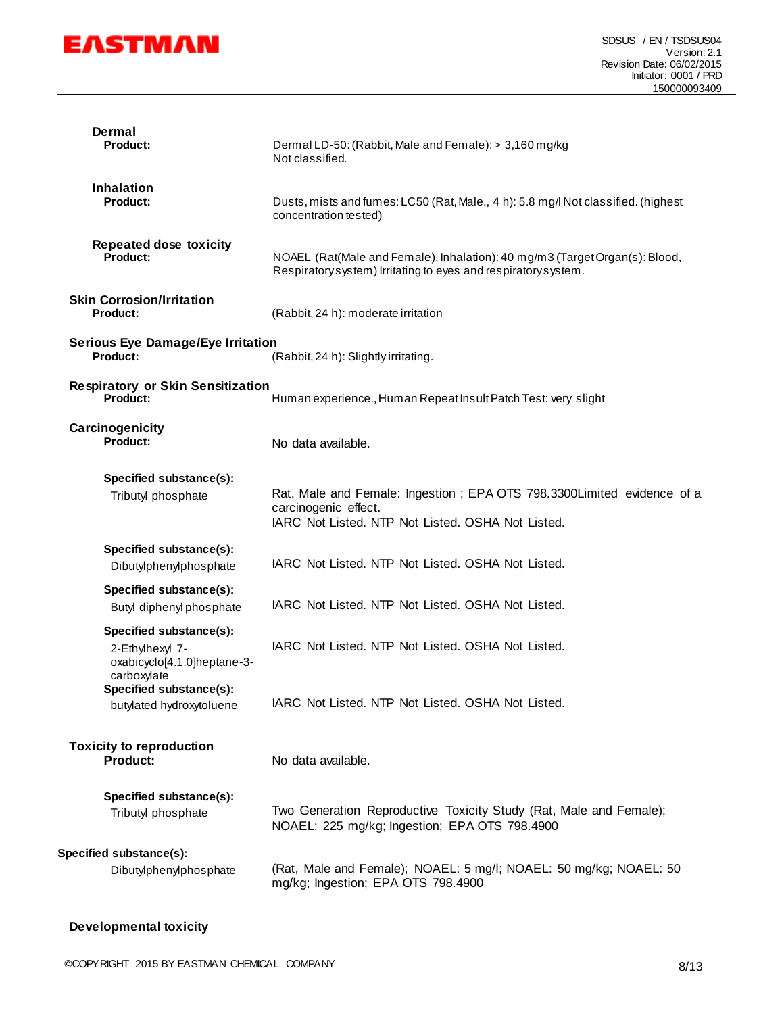

| Dermal<br><b>Product:</b>                                                                                              | Dermal LD-50: (Rabbit, Male and Female): > 3,160 mg/kg<br>Not classified.                                                                            |
|------------------------------------------------------------------------------------------------------------------------|------------------------------------------------------------------------------------------------------------------------------------------------------|
| <b>Inhalation</b><br><b>Product:</b>                                                                                   | Dusts, mists and fumes: LC50 (Rat, Male., 4 h): 5.8 mg/l Not classified. (highest<br>concentration tested)                                           |
| <b>Repeated dose toxicity</b><br>Product:                                                                              | NOAEL (Rat(Male and Female), Inhalation): 40 mg/m3 (Target Organ(s): Blood,<br>Respiratorysystem) Irritating to eyes and respiratorysystem.          |
| <b>Skin Corrosion/Irritation</b><br><b>Product:</b>                                                                    | (Rabbit, 24 h): moderate irritation                                                                                                                  |
| <b>Serious Eye Damage/Eye Irritation</b><br>Product:                                                                   | (Rabbit, 24 h): Slightly irritating.                                                                                                                 |
| <b>Respiratory or Skin Sensitization</b><br>Product:<br>Human experience., Human Repeat Insult Patch Test: very slight |                                                                                                                                                      |
| Carcinogenicity<br>Product:                                                                                            | No data available.                                                                                                                                   |
| Specified substance(s):                                                                                                |                                                                                                                                                      |
| Tributyl phosphate                                                                                                     | Rat, Male and Female: Ingestion ; EPA OTS 798.3300Limited evidence of a<br>carcinogenic effect.<br>IARC Not Listed. NTP Not Listed. OSHA Not Listed. |
| Specified substance(s):<br>Dibutylphenylphosphate                                                                      | IARC Not Listed. NTP Not Listed. OSHA Not Listed.                                                                                                    |
| Specified substance(s):<br>Butyl diphenyl phosphate                                                                    | IARC Not Listed. NTP Not Listed. OSHA Not Listed.                                                                                                    |
| Specified substance(s):<br>2-Ethylhexyl 7-<br>oxabicyclo[4.1.0]heptane-3-<br>carboxylate                               | IARC Not Listed. NTP Not Listed. OSHA Not Listed.                                                                                                    |
| Specified substance(s):<br>butylated hydroxytoluene                                                                    | IARC Not Listed. NTP Not Listed. OSHA Not Listed.                                                                                                    |
| <b>Toxicity to reproduction</b><br><b>Product:</b>                                                                     | No data available.                                                                                                                                   |
| Specified substance(s):<br>Tributyl phosphate                                                                          | Two Generation Reproductive Toxicity Study (Rat, Male and Female);<br>NOAEL: 225 mg/kg; Ingestion; EPA OTS 798.4900                                  |
| Specified substance(s):<br>Dibutylphenylphosphate                                                                      | (Rat, Male and Female); NOAEL: 5 mg/l; NOAEL: 50 mg/kg; NOAEL: 50<br>mg/kg; Ingestion; EPA OTS 798.4900                                              |

**Developmental toxicity**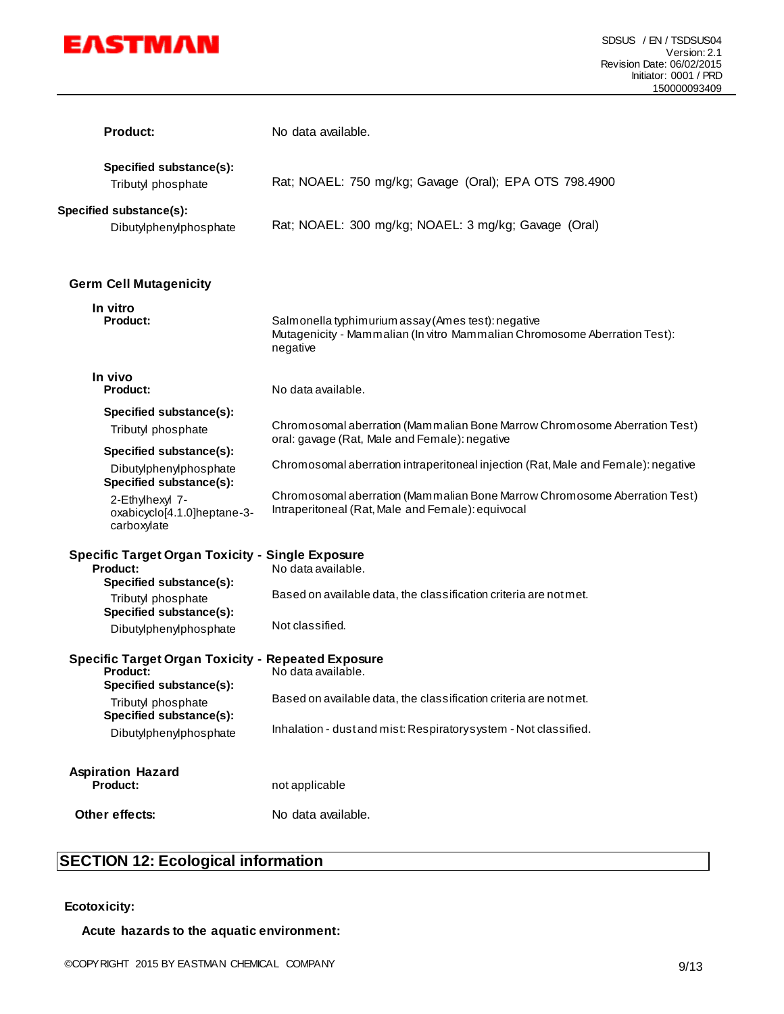

| <b>Product:</b>                                                                                       | No data available.                                                                                                                          |
|-------------------------------------------------------------------------------------------------------|---------------------------------------------------------------------------------------------------------------------------------------------|
| Specified substance(s):<br>Tributyl phosphate                                                         | Rat; NOAEL: 750 mg/kg; Gavage (Oral); EPA OTS 798.4900                                                                                      |
| Specified substance(s):<br>Dibutylphenylphosphate                                                     | Rat; NOAEL: 300 mg/kg; NOAEL: 3 mg/kg; Gavage (Oral)                                                                                        |
| <b>Germ Cell Mutagenicity</b>                                                                         |                                                                                                                                             |
| In vitro<br><b>Product:</b>                                                                           | Salmonella typhimurium assay (Ames test): negative<br>Mutagenicity - Mammalian (In vitro Mammalian Chromosome Aberration Test):<br>negative |
| In vivo<br><b>Product:</b>                                                                            | No data available.                                                                                                                          |
| Specified substance(s):                                                                               |                                                                                                                                             |
| Tributyl phosphate                                                                                    | Chromosomal aberration (Mammalian Bone Marrow Chromosome Aberration Test)<br>oral: gavage (Rat, Male and Female): negative                  |
| Specified substance(s):                                                                               |                                                                                                                                             |
| Dibutylphenylphosphate<br>Specified substance(s):                                                     | Chromosomal aberration intraperitoneal injection (Rat, Male and Female): negative                                                           |
| 2-Ethylhexyl 7-<br>oxabicyclo[4.1.0]heptane-3-<br>carboxylate                                         | Chromosomal aberration (Mammalian Bone Marrow Chromosome Aberration Test)<br>Intraperitoneal (Rat, Male and Female): equivocal              |
| <b>Specific Target Organ Toxicity - Single Exposure</b><br><b>Product:</b><br>Specified substance(s): | No data available.                                                                                                                          |
| Tributyl phosphate<br>Specified substance(s):                                                         | Based on available data, the classification criteria are not met.                                                                           |
| Dibutylphenylphosphate                                                                                | Not classified.                                                                                                                             |
| <b>Specific Target Organ Toxicity - Repeated Exposure</b><br>Product:<br>Specified substance(s):      | No data available.                                                                                                                          |
| Tributyl phosphate<br>Specified substance(s):                                                         | Based on available data, the classification criteria are not met.                                                                           |
| Dibutylphenylphosphate                                                                                | Inhalation - dust and mist: Respiratory system - Not classified.                                                                            |
| <b>Aspiration Hazard</b><br><b>Product:</b>                                                           | not applicable                                                                                                                              |
| Other effects:                                                                                        | No data available.                                                                                                                          |

# **SECTION 12: Ecological information**

#### **Ecotoxicity:**

#### **Acute hazards to the aquatic environment:**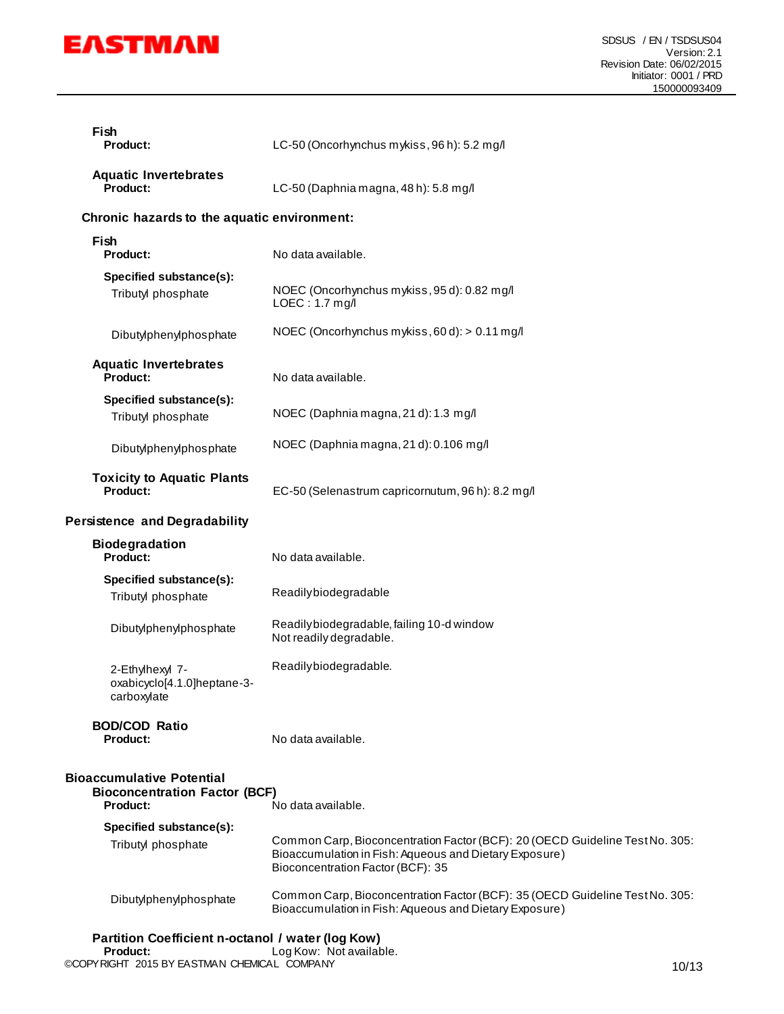

| Fish<br><b>Product:</b>                                                                     | LC-50 (Oncorhynchus mykiss, 96 h): 5.2 mg/l                                                                                                                                 |
|---------------------------------------------------------------------------------------------|-----------------------------------------------------------------------------------------------------------------------------------------------------------------------------|
| <b>Aquatic Invertebrates</b><br>Product:                                                    | LC-50 (Daphnia magna, 48 h): 5.8 mg/l                                                                                                                                       |
| Chronic hazards to the aquatic environment:                                                 |                                                                                                                                                                             |
| Fish<br>Product:                                                                            | No data available.                                                                                                                                                          |
| Specified substance(s):<br>Tributyl phosphate                                               | NOEC (Oncorhynchus mykiss, 95 d): 0.82 mg/l<br>$LOEC: 1.7$ mg/l                                                                                                             |
| Dibutylphenylphosphate                                                                      | NOEC (Oncorhynchus mykiss, 60 d): > 0.11 mg/l                                                                                                                               |
| <b>Aquatic Invertebrates</b><br>Product:                                                    | No data available.                                                                                                                                                          |
| Specified substance(s):<br>Tributyl phosphate                                               | NOEC (Daphnia magna, 21 d): 1.3 mg/l                                                                                                                                        |
| Dibutylphenylphosphate                                                                      | NOEC (Daphnia magna, 21 d): 0.106 mg/l                                                                                                                                      |
| <b>Toxicity to Aquatic Plants</b><br><b>Product:</b>                                        | EC-50 (Selenastrum capricornutum, 96 h): 8.2 mg/l                                                                                                                           |
| <b>Persistence and Degradability</b>                                                        |                                                                                                                                                                             |
| <b>Biodegradation</b><br>Product:                                                           | No data available.                                                                                                                                                          |
| Specified substance(s):<br>Tributyl phosphate                                               | Readilybiodegradable                                                                                                                                                        |
| Dibutylphenylphosphate                                                                      | Readilybiodegradable, failing 10-d window<br>Not readily degradable.                                                                                                        |
| 2-Ethylhexyl 7-<br>oxabicyclo[4.1.0]heptane-3-<br>carboxylate                               | Readilybiodegradable.                                                                                                                                                       |
| <b>BOD/COD Ratio</b><br>Product:                                                            | No data available.                                                                                                                                                          |
| <b>Bioaccumulative Potential</b><br><b>Bioconcentration Factor (BCF)</b><br><b>Product:</b> | No data available.                                                                                                                                                          |
| Specified substance(s):<br>Tributyl phosphate                                               | Common Carp, Bioconcentration Factor (BCF): 20 (OECD Guideline Test No. 305:<br>Bioaccumulation in Fish: Aqueous and Dietary Exposure)<br>Bioconcentration Factor (BCF): 35 |
| Dibutylphenylphosphate                                                                      | Common Carp, Bioconcentration Factor (BCF): 35 (OECD Guideline Test No. 305:<br>Bioaccumulation in Fish: Aqueous and Dietary Exposure)                                      |
| Partition Coefficient n-octanol / water (log Kow)                                           |                                                                                                                                                                             |

©COPYRIGHT 2015 BY EASTMAN CHEMICAL COMPANY 10/13 **Product:** Log Kow: Not available.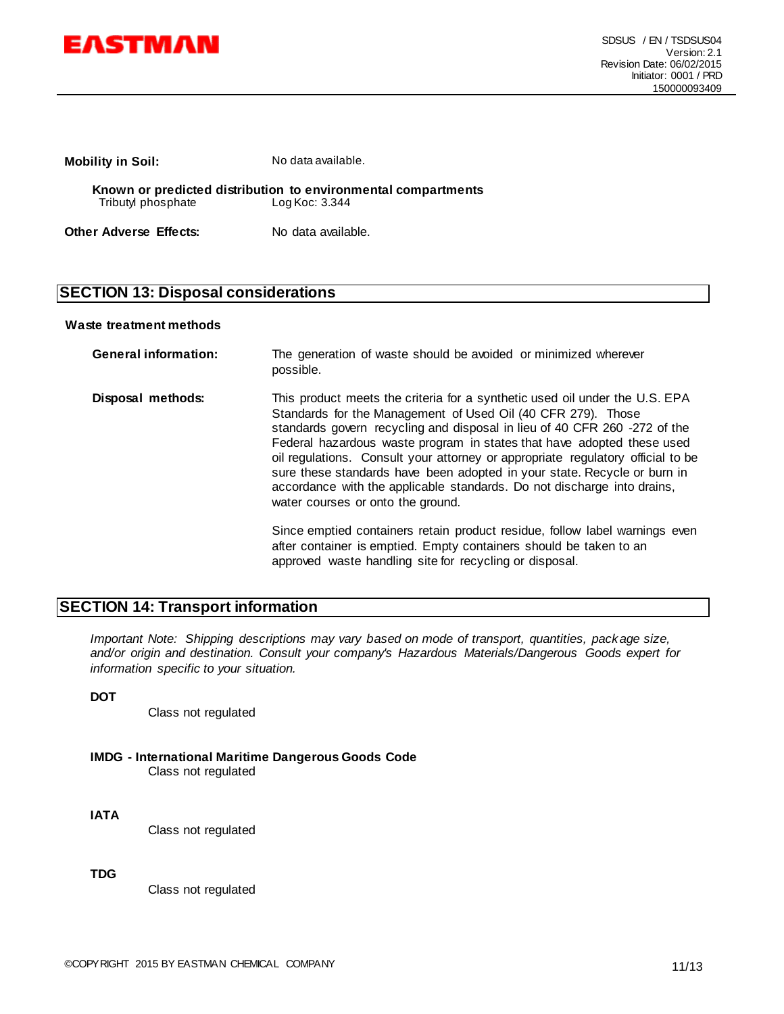

**Mobility in Soil:** No data available.

**Known or predicted distribution to environmental compartments** Tributyl phosphate

**Other Adverse Effects:** No data available.

## **SECTION 13: Disposal considerations**

#### **Waste treatment methods**

| <b>General information:</b> | The generation of waste should be avoided or minimized wherever<br>possible.                                                                                                                                                                                                                                                                                                                                                                                                                                                                                                                                                                                                                                                           |
|-----------------------------|----------------------------------------------------------------------------------------------------------------------------------------------------------------------------------------------------------------------------------------------------------------------------------------------------------------------------------------------------------------------------------------------------------------------------------------------------------------------------------------------------------------------------------------------------------------------------------------------------------------------------------------------------------------------------------------------------------------------------------------|
| Disposal methods:           | This product meets the criteria for a synthetic used oil under the U.S. EPA<br>Standards for the Management of Used Oil (40 CFR 279). Those<br>standards govern recycling and disposal in lieu of 40 CFR 260 -272 of the<br>Federal hazardous waste program in states that have adopted these used<br>oil regulations. Consult your attorney or appropriate regulatory official to be<br>sure these standards have been adopted in your state. Recycle or burn in<br>accordance with the applicable standards. Do not discharge into drains,<br>water courses or onto the ground.<br>Since emptied containers retain product residue, follow label warnings even<br>after container is emptied. Empty containers should be taken to an |
|                             |                                                                                                                                                                                                                                                                                                                                                                                                                                                                                                                                                                                                                                                                                                                                        |

approved waste handling site for recycling or disposal.

### **SECTION 14: Transport information**

*Important Note: Shipping descriptions may vary based on mode of transport, quantities, package size, and/or origin and destination. Consult your company's Hazardous Materials/Dangerous Goods expert for information specific to your situation.*

#### **DOT**

Class not regulated

- **IMDG - International Maritime Dangerous Goods Code** Class not regulated
- **IATA**

Class not regulated

**TDG**

Class not regulated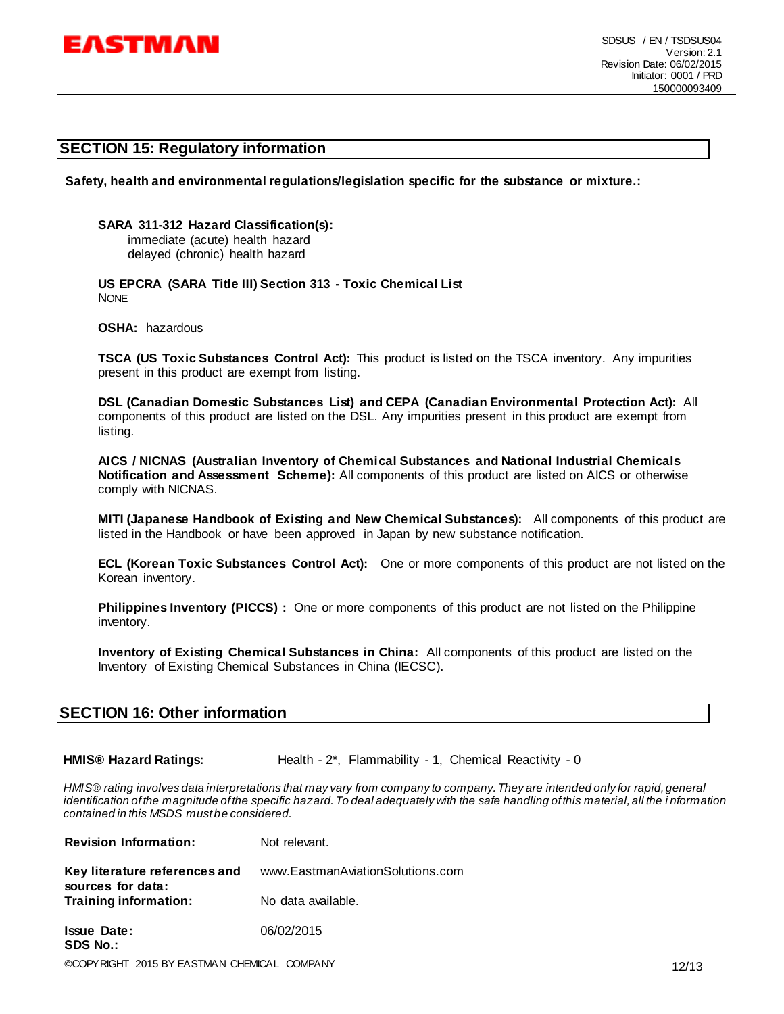

#### **SECTION 15: Regulatory information**

**Safety, health and environmental regulations/legislation specific for the substance or mixture.:**

**SARA 311-312 Hazard Classification(s):** 

immediate (acute) health hazard delayed (chronic) health hazard

**US EPCRA (SARA Title III) Section 313 - Toxic Chemical List NONE** 

**OSHA:** hazardous

**TSCA (US Toxic Substances Control Act):** This product is listed on the TSCA inventory. Any impurities present in this product are exempt from listing.

**DSL (Canadian Domestic Substances List) and CEPA (Canadian Environmental Protection Act):** All components of this product are listed on the DSL. Any impurities present in this product are exempt from listing.

**AICS / NICNAS (Australian Inventory of Chemical Substances and National Industrial Chemicals Notification and Assessment Scheme):** All components of this product are listed on AICS or otherwise comply with NICNAS.

**MITI (Japanese Handbook of Existing and New Chemical Substances):** All components of this product are listed in the Handbook or have been approved in Japan by new substance notification.

**ECL (Korean Toxic Substances Control Act):** One or more components of this product are not listed on the Korean inventory.

**Philippines Inventory (PICCS) :** One or more components of this product are not listed on the Philippine inventory.

**Inventory of Existing Chemical Substances in China:** All components of this product are listed on the Inventory of Existing Chemical Substances in China (IECSC).

#### **SECTION 16: Other information**

**HMIS<sup>®</sup> Hazard Ratings:** Health - 2<sup>\*</sup>, Flammability - 1, Chemical Reactivity - 0

*HMIS® rating involves data interpretations that may vary from company to company. They are intended only for rapid, general identification of the magnitude of the specific hazard. To deal adequately with the safe handling of this material, all the i nformation contained in this MSDS must be considered.*

| <b>Revision Information:</b>                                                                                                                                                                                                                                                                                                                                      | Not relevant.                    |
|-------------------------------------------------------------------------------------------------------------------------------------------------------------------------------------------------------------------------------------------------------------------------------------------------------------------------------------------------------------------|----------------------------------|
| Key literature references and<br>sources for data:                                                                                                                                                                                                                                                                                                                | www.EastmanAviationSolutions.com |
| Training information:                                                                                                                                                                                                                                                                                                                                             | No data available.               |
| <b>Issue Date:</b><br><b>SDS No.:</b>                                                                                                                                                                                                                                                                                                                             | 06/02/2015                       |
| $\bigcap_{i=1}^n \bigcap_{i=1}^n \bigcap_{i=1}^n \bigcap_{i=1}^n \bigcap_{i=1}^n \bigcap_{i=1}^n \bigcap_{i=1}^n \bigcap_{i=1}^n \bigcap_{i=1}^n \bigcap_{i=1}^n \bigcap_{i=1}^n \bigcap_{i=1}^n \bigcap_{i=1}^n \bigcap_{i=1}^n \bigcap_{i=1}^n \bigcap_{i=1}^n \bigcap_{i=1}^n \bigcap_{i=1}^n \bigcap_{i=1}^n \bigcap_{i=1}^n \bigcap_{i=1}^n \bigcap_{i=1}^n$ |                                  |